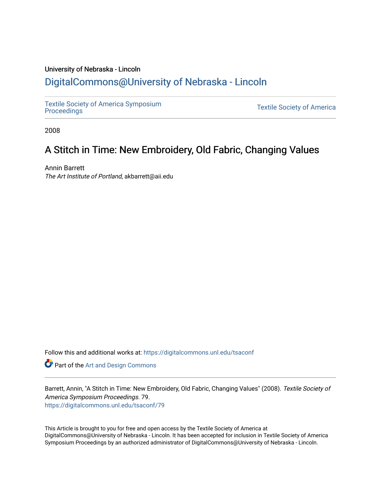## University of Nebraska - Lincoln [DigitalCommons@University of Nebraska - Lincoln](https://digitalcommons.unl.edu/)

[Textile Society of America Symposium](https://digitalcommons.unl.edu/tsaconf) 

**Textile Society of America** 

2008

## A Stitch in Time: New Embroidery, Old Fabric, Changing Values

Annin Barrett The Art Institute of Portland, akbarrett@aii.edu

Follow this and additional works at: [https://digitalcommons.unl.edu/tsaconf](https://digitalcommons.unl.edu/tsaconf?utm_source=digitalcommons.unl.edu%2Ftsaconf%2F79&utm_medium=PDF&utm_campaign=PDFCoverPages)

Part of the [Art and Design Commons](http://network.bepress.com/hgg/discipline/1049?utm_source=digitalcommons.unl.edu%2Ftsaconf%2F79&utm_medium=PDF&utm_campaign=PDFCoverPages)

Barrett, Annin, "A Stitch in Time: New Embroidery, Old Fabric, Changing Values" (2008). Textile Society of America Symposium Proceedings. 79. [https://digitalcommons.unl.edu/tsaconf/79](https://digitalcommons.unl.edu/tsaconf/79?utm_source=digitalcommons.unl.edu%2Ftsaconf%2F79&utm_medium=PDF&utm_campaign=PDFCoverPages) 

This Article is brought to you for free and open access by the Textile Society of America at DigitalCommons@University of Nebraska - Lincoln. It has been accepted for inclusion in Textile Society of America Symposium Proceedings by an authorized administrator of DigitalCommons@University of Nebraska - Lincoln.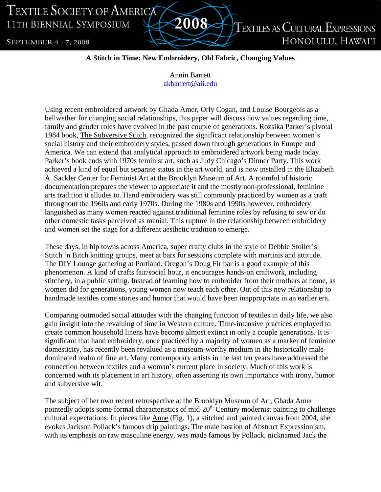TEXTILE SOCIETY OF AMERICA 11TH BIENNIAL SYMPOSIUM

SEPTEMBER 4 - 7, 2008

**TEXTILES AS CULTURAL EXPRESSIONS** HONOLULU, HAWAI'I

## **A Stitch in Time: New Embroidery, Old Fabric, Changing Values**

2008

Annin Barrett akbarrett@aii.edu

Using recent embroidered artwork by Ghada Amer, Orly Cogan, and Louise Bourgeois as a bellwether for changing social relationships, this paper will discuss how values regarding time, family and gender roles have evolved in the past couple of generations. Rozsika Parker's pivotal 1984 book, The Subversive Stitch, recognized the significant relationship between women's social history and their embroidery styles, passed down through generations in Europe and America. We can extend that analytical approach to embroidered artwork being made today. Parker's book ends with 1970s feminist art, such as Judy Chicago's Dinner Party. This work achieved a kind of equal but separate status in the art world, and is now installed in the Elizabeth A. Sackler Center for Feminist Art at the Brooklyn Museum of Art. A roomful of historic documentation prepares the viewer to appreciate it and the mostly non-professional, feminine arts tradition it alludes to. Hand embroidery was still commonly practiced by women as a craft throughout the 1960s and early 1970s. During the 1980s and 1990s however, embroidery languished as many women reacted against traditional feminine roles by refusing to sew or do other domestic tasks perceived as menial. This rupture in the relationship between embroidery and women set the stage for a different aesthetic tradition to emerge.

These days, in hip towns across America, super crafty clubs in the style of Debbie Stoller's Stitch 'n Bitch knitting groups, meet at bars for sessions complete with martinis and attitude. The DIY Lounge gathering at Portland, Oregon's Doug Fir bar is a good example of this phenomenon. A kind of crafts fair/social hour, it encourages hands-on craftwork, including stitchery, in a public setting. Instead of learning how to embroider from their mothers at home, as women did for generations, young women now teach each other. Out of this new relationship to handmade textiles come stories and humor that would have been inappropriate in an earlier era.

Comparing outmoded social attitudes with the changing function of textiles in daily life, we also gain insight into the revaluing of time in Western culture. Time-intensive practices employed to create common household linens have become almost extinct in only a couple generations. It is significant that hand embroidery, once practiced by a majority of women as a marker of feminine domesticity, has recently been revalued as a museum-worthy medium in the historically maledominated realm of fine art. Many contemporary artists in the last ten years have addressed the connection between textiles and a woman's current place in society. Much of this work is concerned with its placement in art history, often asserting its own importance with irony, humor and subversive wit.

The subject of her own recent retrospective at the Brooklyn Museum of Art, Ghada Amer pointedly adopts some formal characteristics of mid-20<sup>th</sup> Century modernist painting to challenge cultural expectations. In pieces like Anne (Fig. 1), a stitched and painted canvas from 2004, she evokes Jackson Pollack's famous drip paintings. The male bastion of Abstract Expressionism, with its emphasis on raw masculine energy, was made famous by Pollack, nicknamed Jack the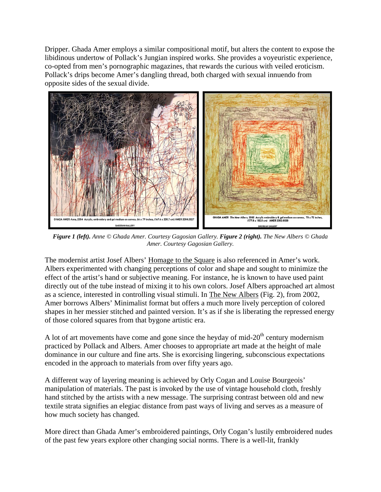Dripper. Ghada Amer employs a similar compositional motif, but alters the content to expose the libidinous undertow of Pollack's Jungian inspired works. She provides a voyeuristic experience, co-opted from men's pornographic magazines, that rewards the curious with veiled eroticism. Pollack's drips become Amer's dangling thread, both charged with sexual innuendo from opposite sides of the sexual divide.



*Figure 1 (left). Anne © Ghada Amer. Courtesy Gagosian Gallery. Figure 2 (right). The New Albers © Ghada Amer. Courtesy Gagosian Gallery.* 

The modernist artist Josef Albers' Homage to the Square is also referenced in Amer's work. Albers experimented with changing perceptions of color and shape and sought to minimize the effect of the artist's hand or subjective meaning. For instance, he is known to have used paint directly out of the tube instead of mixing it to his own colors. Josef Albers approached art almost as a science, interested in controlling visual stimuli. In The New Albers (Fig. 2), from 2002, Amer borrows Albers' Minimalist format but offers a much more lively perception of colored shapes in her messier stitched and painted version. It's as if she is liberating the repressed energy of those colored squares from that bygone artistic era.

A lot of art movements have come and gone since the heyday of mid- $20<sup>th</sup>$  century modernism practiced by Pollack and Albers. Amer chooses to appropriate art made at the height of male dominance in our culture and fine arts. She is exorcising lingering, subconscious expectations encoded in the approach to materials from over fifty years ago.

A different way of layering meaning is achieved by Orly Cogan and Louise Bourgeois' manipulation of materials. The past is invoked by the use of vintage household cloth, freshly hand stitched by the artists with a new message. The surprising contrast between old and new textile strata signifies an elegiac distance from past ways of living and serves as a measure of how much society has changed.

More direct than Ghada Amer's embroidered paintings, Orly Cogan's lustily embroidered nudes of the past few years explore other changing social norms. There is a well-lit, frankly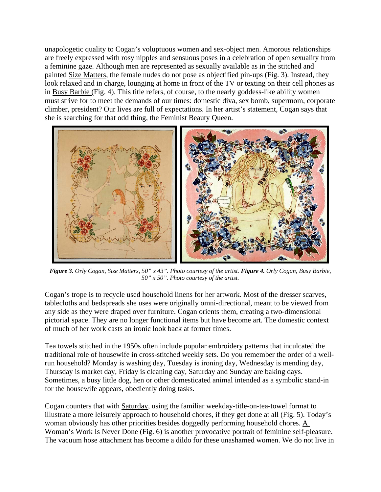unapologetic quality to Cogan's voluptuous women and sex-object men. Amorous relationships are freely expressed with rosy nipples and sensuous poses in a celebration of open sexuality from a feminine gaze. Although men are represented as sexually available as in the stitched and painted Size Matters, the female nudes do not pose as objectified pin-ups (Fig. 3). Instead, they look relaxed and in charge, lounging at home in front of the TV or texting on their cell phones as in Busy Barbie (Fig. 4). This title refers, of course, to the nearly goddess-like ability women must strive for to meet the demands of our times: domestic diva, sex bomb, supermom, corporate climber, president? Our lives are full of expectations. In her artist's statement, Cogan says that she is searching for that odd thing, the Feminist Beauty Queen.



*Figure 3. Orly Cogan, Size Matters, 50" x 43". Photo courtesy of the artist. Figure 4. Orly Cogan, Busy Barbie, 50" x 50". Photo courtesy of the artist.* 

Cogan's trope is to recycle used household linens for her artwork. Most of the dresser scarves, tablecloths and bedspreads she uses were originally omni-directional, meant to be viewed from any side as they were draped over furniture. Cogan orients them, creating a two-dimensional pictorial space. They are no longer functional items but have become art. The domestic context of much of her work casts an ironic look back at former times.

Tea towels stitched in the 1950s often include popular embroidery patterns that inculcated the traditional role of housewife in cross-stitched weekly sets. Do you remember the order of a wellrun household? Monday is washing day, Tuesday is ironing day, Wednesday is mending day, Thursday is market day, Friday is cleaning day, Saturday and Sunday are baking days. Sometimes, a busy little dog, hen or other domesticated animal intended as a symbolic stand-in for the housewife appears, obediently doing tasks.

Cogan counters that with Saturday, using the familiar weekday-title-on-tea-towel format to illustrate a more leisurely approach to household chores, if they get done at all (Fig. 5). Today's woman obviously has other priorities besides doggedly performing household chores. A Woman's Work Is Never Done (Fig. 6) is another provocative portrait of feminine self-pleasure. The vacuum hose attachment has become a dildo for these unashamed women. We do not live in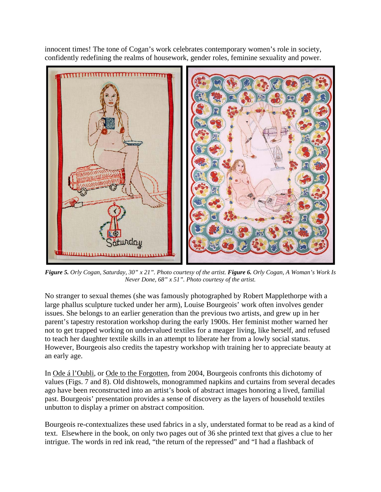innocent times! The tone of Cogan's work celebrates contemporary women's role in society, confidently redefining the realms of housework, gender roles, feminine sexuality and power.



*Figure 5. Orly Cogan, Saturday, 30" x 21". Photo courtesy of the artist. Figure 6. Orly Cogan, A Woman's Work Is Never Done, 68" x 51". Photo courtesy of the artist.* 

No stranger to sexual themes (she was famously photographed by Robert Mapplethorpe with a large phallus sculpture tucked under her arm), Louise Bourgeois' work often involves gender issues. She belongs to an earlier generation than the previous two artists, and grew up in her parent's tapestry restoration workshop during the early 1900s. Her feminist mother warned her not to get trapped working on undervalued textiles for a meager living, like herself, and refused to teach her daughter textile skills in an attempt to liberate her from a lowly social status. However, Bourgeois also credits the tapestry workshop with training her to appreciate beauty at an early age.

In Ode á l'Oubli, or Ode to the Forgotten, from 2004, Bourgeois confronts this dichotomy of values (Figs. 7 and 8). Old dishtowels, monogrammed napkins and curtains from several decades ago have been reconstructed into an artist's book of abstract images honoring a lived, familial past. Bourgeois' presentation provides a sense of discovery as the layers of household textiles unbutton to display a primer on abstract composition.

Bourgeois re-contextualizes these used fabrics in a sly, understated format to be read as a kind of text. Elsewhere in the book, on only two pages out of 36 she printed text that gives a clue to her intrigue. The words in red ink read, "the return of the repressed" and "I had a flashback of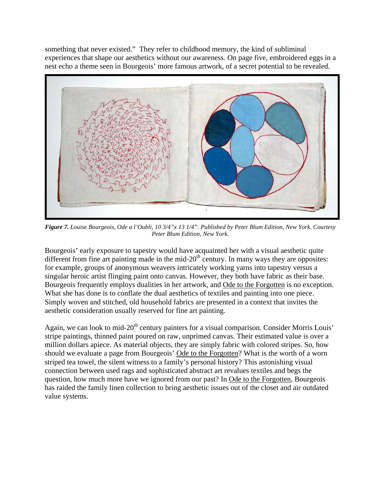something that never existed." They refer to childhood memory, the kind of subliminal experiences that shape our aesthetics without our awareness. On page five, embroidered eggs in a nest echo a theme seen in Bourgeois' more famous artwork, of a secret potential to be revealed.



*Figure 7. Louise Bourgeois, Ode a l'Oubli, 10 3/4"x 13 1/4". Published by Peter Blum Edition, New York. Courtesy Peter Blum Edition, New York.* 

Bourgeois' early exposure to tapestry would have acquainted her with a visual aesthetic quite different from fine art painting made in the mid- $20<sup>th</sup>$  century. In many ways they are opposites: for example, groups of anonymous weavers intricately working yarns into tapestry versus a singular heroic artist flinging paint onto canvas. However, they both have fabric as their base. Bourgeois frequently employs dualities in her artwork, and Ode to the Forgotten is no exception. What she has done is to conflate the dual aesthetics of textiles and painting into one piece. Simply woven and stitched, old household fabrics are presented in a context that invites the aesthetic consideration usually reserved for fine art painting.

Again, we can look to mid-20<sup>th</sup> century painters for a visual comparison. Consider Morris Louis' stripe paintings, thinned paint poured on raw, unprimed canvas. Their estimated value is over a million dollars apiece. As material objects, they are simply fabric with colored stripes. So, how should we evaluate a page from Bourgeois' Ode to the Forgotten? What is the worth of a worn striped tea towel, the silent witness to a family's personal history? This astonishing visual connection between used rags and sophisticated abstract art revalues textiles and begs the question, how much more have we ignored from our past? In Ode to the Forgotten, Bourgeois has raided the family linen collection to bring aesthetic issues out of the closet and air outdated value systems.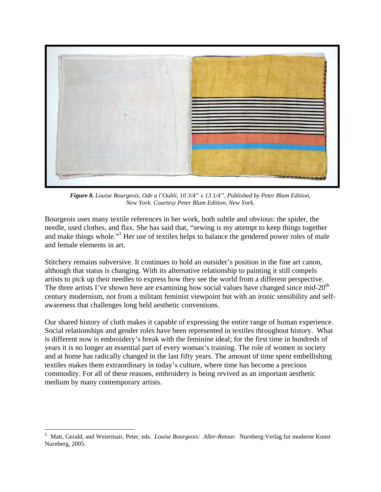

*Figure 8. Louise Bourgeois, Ode a l'Oubli, 10 3/4" x 13 1/4". Published by Peter Blum Edition, New York. Courtesy Peter Blum Edition, New York.* 

Bourgeois uses many textile references in her work, both subtle and obvious: the spider, the needle, used clothes, and flax. She has said that, "sewing is my attempt to keep things together and make things whole."<sup>1</sup> Her use of textiles helps to balance the gendered power roles of male and female elements in art.

Stitchery remains subversive. It continues to hold an outsider's position in the fine art canon, although that status is changing. With its alternative relationship to painting it still compels artists to pick up their needles to express how they see the world from a different perspective. The three artists I've shown here are examining how social values have changed since mid-20<sup>th</sup> century modernism, not from a militant feminist viewpoint but with an ironic sensibility and selfawareness that challenges long held aesthetic conventions.

Our shared history of cloth makes it capable of expressing the entire range of human experience. Social relationships and gender roles have been represented in textiles throughout history. What is different now is embroidery's break with the feminine ideal; for the first time in hundreds of years it is no longer an essential part of every woman's training. The role of women in society and at home has radically changed in the last fifty years. The amount of time spent embellishing textiles makes them extraordinary in today's culture, where time has become a precious commodity. For all of these reasons, embroidery is being revived as an important aesthetic medium by many contemporary artists.

 $\overline{a}$ 

<sup>1</sup> Matt, Gerald, and Weiermair, Peter, eds. *Louise Bourgeois: Aller-Retour.* Nurnberg:Verlag fur moderne Kunst Nurnberg, 2005.